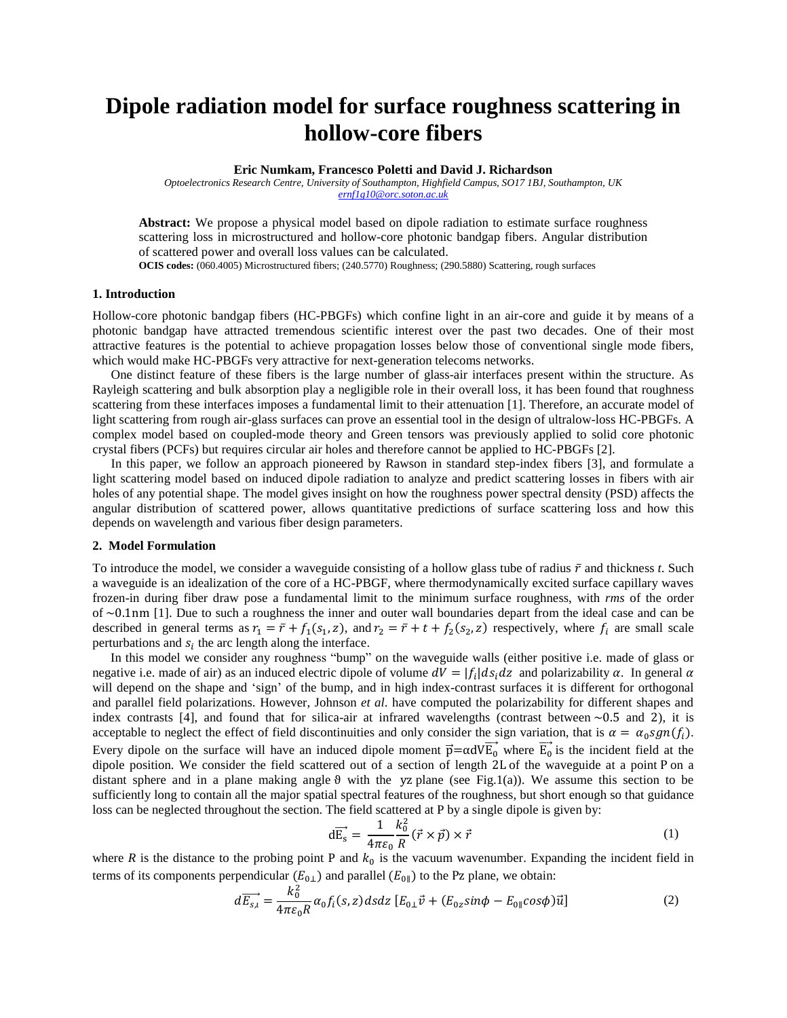# **Dipole radiation model for surface roughness scattering in hollow-core fibers**

**Eric Numkam, Francesco Poletti and David J. Richardson**

*Optoelectronics Research Centre, University of Southampton, Highfield Campus, SO17 1BJ, Southampton, UK [ernf1g10@orc.soton.ac.uk](mailto:ernf1g10@orc.soton.ac.uk)*

**Abstract:** We propose a physical model based on dipole radiation to estimate surface roughness scattering loss in microstructured and hollow-core photonic bandgap fibers. Angular distribution of scattered power and overall loss values can be calculated.

**OCIS codes:** (060.4005) Microstructured fibers; (240.5770) Roughness; (290.5880) Scattering, rough surfaces

# **1. Introduction**

Hollow-core photonic bandgap fibers (HC-PBGFs) which confine light in an air-core and guide it by means of a photonic bandgap have attracted tremendous scientific interest over the past two decades. One of their most attractive features is the potential to achieve propagation losses below those of conventional single mode fibers, which would make HC-PBGFs very attractive for next-generation telecoms networks.

One distinct feature of these fibers is the large number of glass-air interfaces present within the structure. As Rayleigh scattering and bulk absorption play a negligible role in their overall loss, it has been found that roughness scattering from these interfaces imposes a fundamental limit to their attenuation [1]. Therefore, an accurate model of light scattering from rough air-glass surfaces can prove an essential tool in the design of ultralow-loss HC-PBGFs. A complex model based on coupled-mode theory and Green tensors was previously applied to solid core photonic crystal fibers (PCFs) but requires circular air holes and therefore cannot be applied to HC-PBGFs [2].

In this paper, we follow an approach pioneered by Rawson in standard step-index fibers [3], and formulate a light scattering model based on induced dipole radiation to analyze and predict scattering losses in fibers with air holes of any potential shape. The model gives insight on how the roughness power spectral density (PSD) affects the angular distribution of scattered power, allows quantitative predictions of surface scattering loss and how this depends on wavelength and various fiber design parameters.

# **2. Model Formulation**

To introduce the model, we consider a waveguide consisting of a hollow glass tube of radius  $\bar{r}$  and thickness *t*. Such a waveguide is an idealization of the core of a HC-PBGF, where thermodynamically excited surface capillary waves frozen-in during fiber draw pose a fundamental limit to the minimum surface roughness, with *rms* of the order of  $\sim 0.1$ nm [1]. Due to such a roughness the inner and outer wall boundaries depart from the ideal case and can be described in general terms as  $r_1 = \bar{r} + f_1(s_1, z)$ , and  $r_2 = \bar{r} + t + f_2(s_2, z)$  respectively, where  $f_i$  are small scale perturbations and  $s_i$  the arc length along the interface.

In this model we consider any roughness "bump" on the waveguide walls (either positive i.e. made of glass or negative i.e. made of air) as an induced electric dipole of volume  $dV = |f_i| ds_i dz$  and polarizability  $\alpha$ . In general will depend on the shape and 'sign' of the bump, and in high index-contrast surfaces it is different for orthogonal and parallel field polarizations. However, Johnson *et al*. have computed the polarizability for different shapes and index contrasts [4], and found that for silica-air at infrared wavelengths (contrast between  $\sim 0.5$  and 2), it is acceptable to neglect the effect of field discontinuities and only consider the sign variation, that is  $\alpha = \alpha_0 sgn(f_i)$ . Every dipole on the surface will have an induced dipole moment  $\vec{p} = \alpha dV \vec{E_0}$  where  $\vec{E_0}$  is the incident field at the dipole position. We consider the field scattered out of a section of length 2L of the waveguide at a point P on a distant sphere and in a plane making angle  $\theta$  with the yz plane (see Fig.1(a)). We assume this section to be sufficiently long to contain all the major spatial spectral features of the roughness, but short enough so that guidance loss can be neglected throughout the section. The field scattered at P by a single dipole is given by:

$$
d\overrightarrow{E_s} = \frac{1}{4\pi\varepsilon_0} \frac{k_0^2}{R} (\vec{r} \times \vec{p}) \times \vec{r}
$$
 (1)

where R is the distance to the probing point P and  $k_0$  is the vacuum wavenumber. Expanding the incident field in terms of its components perpendicular  $(E_{0\perp})$  and parallel  $(E_{0\parallel})$  to the Pz plane, we obtain:

$$
d\overrightarrow{E_{s,l}} = \frac{k_0^2}{4\pi\varepsilon_0 R} \alpha_0 f_i(s, z) ds dz \left[ E_{0\perp} \vec{v} + (E_{0z} sin\phi - E_{0\parallel} cos\phi) \vec{u} \right]
$$
(2)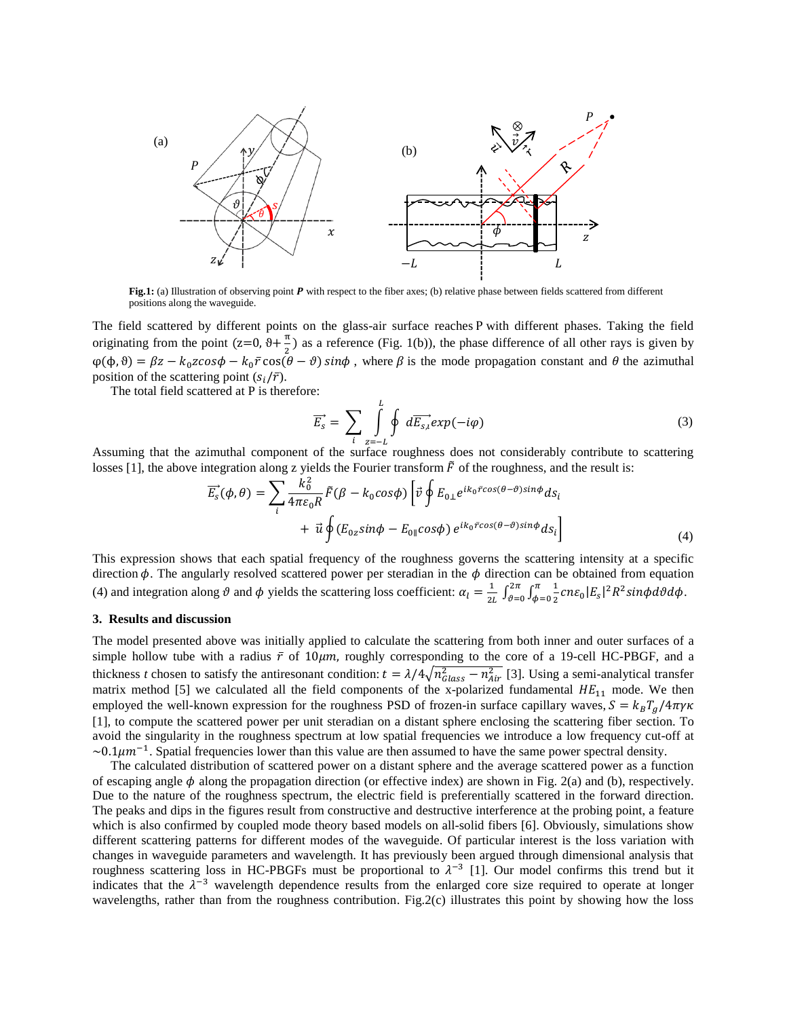

Fig.1: (a) Illustration of observing point P with respect to the fiber axes; (b) relative phase between fields scattered from different positions along the waveguide.

The field scattered by different points on the glass-air surface reaches P with different phases. Taking the field originating from the point  $(z=0, \theta + \frac{\pi}{2})$  as a reference (Fig. 1(b)), the phase difference of all other rays is given by  $\varphi(\phi,\vartheta) = \beta z - k_0 z \cos \phi - k_0 \bar{r} \cos (\theta - \vartheta) \sin \phi$ , where  $\beta$  is the mode propagation constant and  $\theta$  the azimuthal position of the scattering point  $(s_i/\bar{r})$ .

The total field scattered at P is therefore:

$$
\overrightarrow{E_s} = \sum_{i} \int_{z=-L}^{L} \oint d\overrightarrow{E_{s,i}} exp(-i\varphi)
$$
\n(3)

Assuming that the azimuthal component of the surface roughness does not considerably contribute to scattering losses [1], the above integration along z yields the Fourier transform  $\tilde{F}$  of the roughness, and the result is:

$$
\overrightarrow{E_s}(\phi,\theta) = \sum_i \frac{k_0^2}{4\pi\varepsilon_0 R} \tilde{F}(\beta - k_0 \cos\phi) \left[ \vec{v} \oint E_{0\perp} e^{ik_0 \tilde{r} \cos(\theta - \theta) \sin\phi} ds_i \right. \n+ \vec{u} \oint (E_{0z} \sin\phi - E_{0\parallel} \cos\phi) e^{ik_0 \tilde{r} \cos(\theta - \theta) \sin\phi} ds_i \qquad (4)
$$

This expression shows that each spatial frequency of the roughness governs the scattering intensity at a specific direction  $\phi$ . The angularly resolved scattered power per steradian in the  $\phi$  direction can be obtained from equation (4) and integration along  $\vartheta$  and  $\varphi$  yields the scattering loss coefficient:  $\alpha_l = \frac{1}{2l}$  $\frac{1}{2L} \int_{\vartheta=0}^{2\pi} \int_{\phi=0}^{\pi} \frac{1}{2}$  $\int_{\phi=0}^{\pi} \frac{1}{2} c n \varepsilon_0 |E_s|^2 R^2 s$  $\overline{\mathbf{c}}$  $\int_{\vartheta=0}^{2\pi}\int_{\varphi=0}^{\pi}\frac{1}{2}c n \varepsilon_0 |E_s|^2 R^2 sin\phi d\vartheta d\phi.$ 

# **3. Results and discussion**

The model presented above was initially applied to calculate the scattering from both inner and outer surfaces of a simple hollow tube with a radius  $\bar{r}$  of 10 $\mu$ m, roughly corresponding to the core of a 19-cell HC-PBGF, and a thickness *t* chosen to satisfy the antiresonant condition:  $t = \lambda/4\sqrt{n_{class}^2 - n_{Air}^2}$  [3]. Using a semi-analytical transfer matrix method [5] we calculated all the field components of the x-polarized fundamental  $HE_{11}$  mode. We then employed the well-known expression for the roughness PSD of frozen-in surface capillary waves,  $S = k_B T_a / 4\pi \gamma \kappa$ [1], to compute the scattered power per unit steradian on a distant sphere enclosing the scattering fiber section. To avoid the singularity in the roughness spectrum at low spatial frequencies we introduce a low frequency cut-off at  $\sim 0.1 \mu m^{-1}$ . Spatial frequencies lower than this value are then assumed to have the same power spectral density.

The calculated distribution of scattered power on a distant sphere and the average scattered power as a function of escaping angle  $\phi$  along the propagation direction (or effective index) are shown in Fig. 2(a) and (b), respectively. Due to the nature of the roughness spectrum, the electric field is preferentially scattered in the forward direction. The peaks and dips in the figures result from constructive and destructive interference at the probing point, a feature which is also confirmed by coupled mode theory based models on all-solid fibers [6]. Obviously, simulations show different scattering patterns for different modes of the waveguide. Of particular interest is the loss variation with changes in waveguide parameters and wavelength. It has previously been argued through dimensional analysis that roughness scattering loss in HC-PBGFs must be proportional to  $\lambda^{-3}$  [1]. Our model confirms this trend but it indicates that the  $\lambda^{-3}$  wavelength dependence results from the enlarged core size required to operate at longer wavelengths, rather than from the roughness contribution. Fig.2(c) illustrates this point by showing how the loss